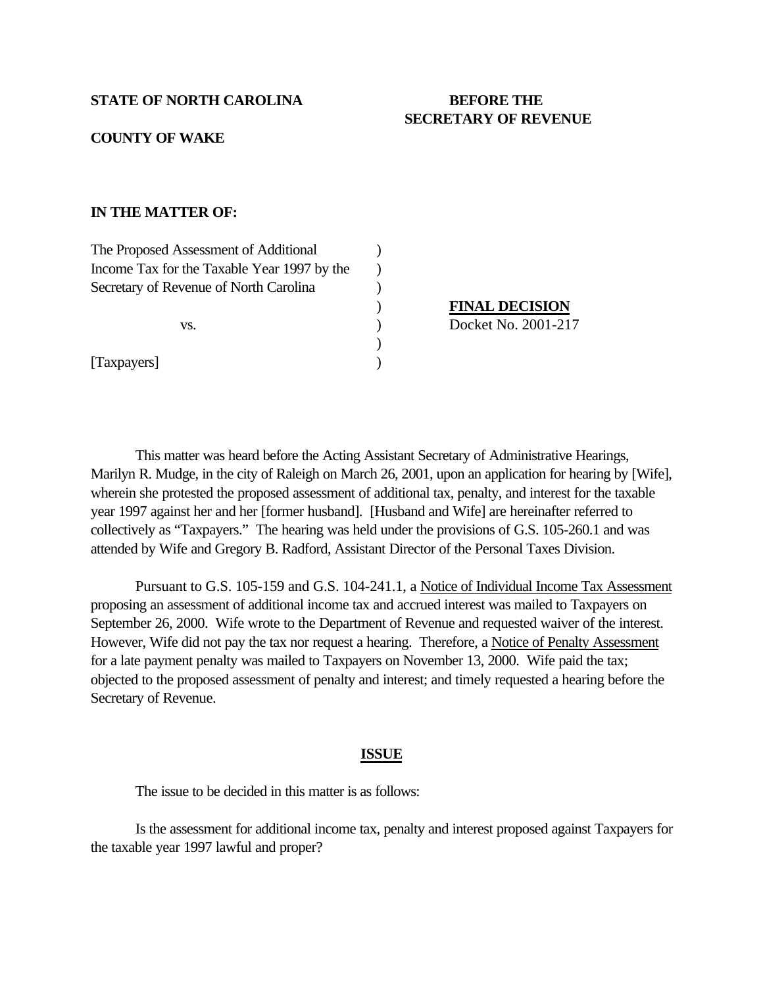#### **STATE OF NORTH CAROLINA BEFORE THE**

# **SECRETARY OF REVENUE**

### **COUNTY OF WAKE**

## **IN THE MATTER OF:**

| The Proposed Assessment of Additional       |                       |
|---------------------------------------------|-----------------------|
| Income Tax for the Taxable Year 1997 by the |                       |
| Secretary of Revenue of North Carolina      |                       |
| VS.                                         | <b>FINAL DECISION</b> |
|                                             | Docket No. 2001-217   |
|                                             |                       |
| [Taxpayers]                                 |                       |

This matter was heard before the Acting Assistant Secretary of Administrative Hearings, Marilyn R. Mudge, in the city of Raleigh on March 26, 2001, upon an application for hearing by [Wife], wherein she protested the proposed assessment of additional tax, penalty, and interest for the taxable year 1997 against her and her [former husband]. [Husband and Wife] are hereinafter referred to collectively as "Taxpayers." The hearing was held under the provisions of G.S. 105-260.1 and was attended by Wife and Gregory B. Radford, Assistant Director of the Personal Taxes Division.

Pursuant to G.S. 105-159 and G.S. 104-241.1, a Notice of Individual Income Tax Assessment proposing an assessment of additional income tax and accrued interest was mailed to Taxpayers on September 26, 2000. Wife wrote to the Department of Revenue and requested waiver of the interest. However, Wife did not pay the tax nor request a hearing. Therefore, a Notice of Penalty Assessment for a late payment penalty was mailed to Taxpayers on November 13, 2000. Wife paid the tax; objected to the proposed assessment of penalty and interest; and timely requested a hearing before the Secretary of Revenue.

#### **ISSUE**

The issue to be decided in this matter is as follows:

Is the assessment for additional income tax, penalty and interest proposed against Taxpayers for the taxable year 1997 lawful and proper?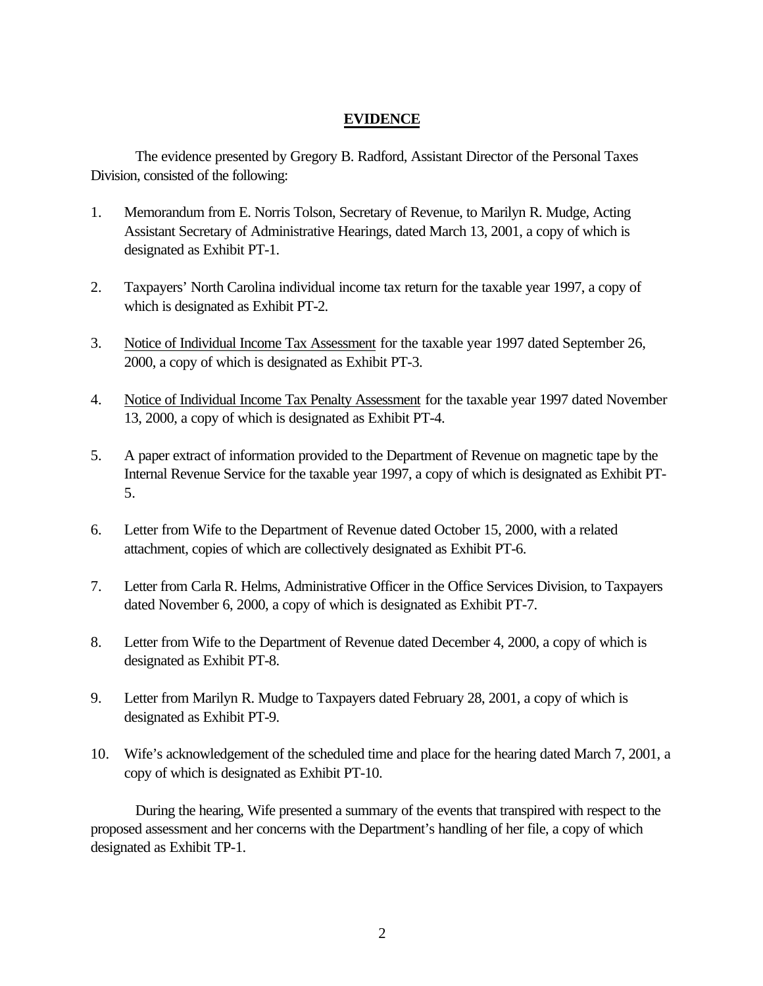# **EVIDENCE**

The evidence presented by Gregory B. Radford, Assistant Director of the Personal Taxes Division, consisted of the following:

- 1. Memorandum from E. Norris Tolson, Secretary of Revenue, to Marilyn R. Mudge, Acting Assistant Secretary of Administrative Hearings, dated March 13, 2001, a copy of which is designated as Exhibit PT-1.
- 2. Taxpayers' North Carolina individual income tax return for the taxable year 1997, a copy of which is designated as Exhibit PT-2.
- 3. Notice of Individual Income Tax Assessment for the taxable year 1997 dated September 26, 2000, a copy of which is designated as Exhibit PT-3.
- 4. Notice of Individual Income Tax Penalty Assessment for the taxable year 1997 dated November 13, 2000, a copy of which is designated as Exhibit PT-4.
- 5. A paper extract of information provided to the Department of Revenue on magnetic tape by the Internal Revenue Service for the taxable year 1997, a copy of which is designated as Exhibit PT-5.
- 6. Letter from Wife to the Department of Revenue dated October 15, 2000, with a related attachment, copies of which are collectively designated as Exhibit PT-6.
- 7. Letter from Carla R. Helms, Administrative Officer in the Office Services Division, to Taxpayers dated November 6, 2000, a copy of which is designated as Exhibit PT-7.
- 8. Letter from Wife to the Department of Revenue dated December 4, 2000, a copy of which is designated as Exhibit PT-8.
- 9. Letter from Marilyn R. Mudge to Taxpayers dated February 28, 2001, a copy of which is designated as Exhibit PT-9.
- 10. Wife's acknowledgement of the scheduled time and place for the hearing dated March 7, 2001, a copy of which is designated as Exhibit PT-10.

During the hearing, Wife presented a summary of the events that transpired with respect to the proposed assessment and her concerns with the Department's handling of her file, a copy of which designated as Exhibit TP-1.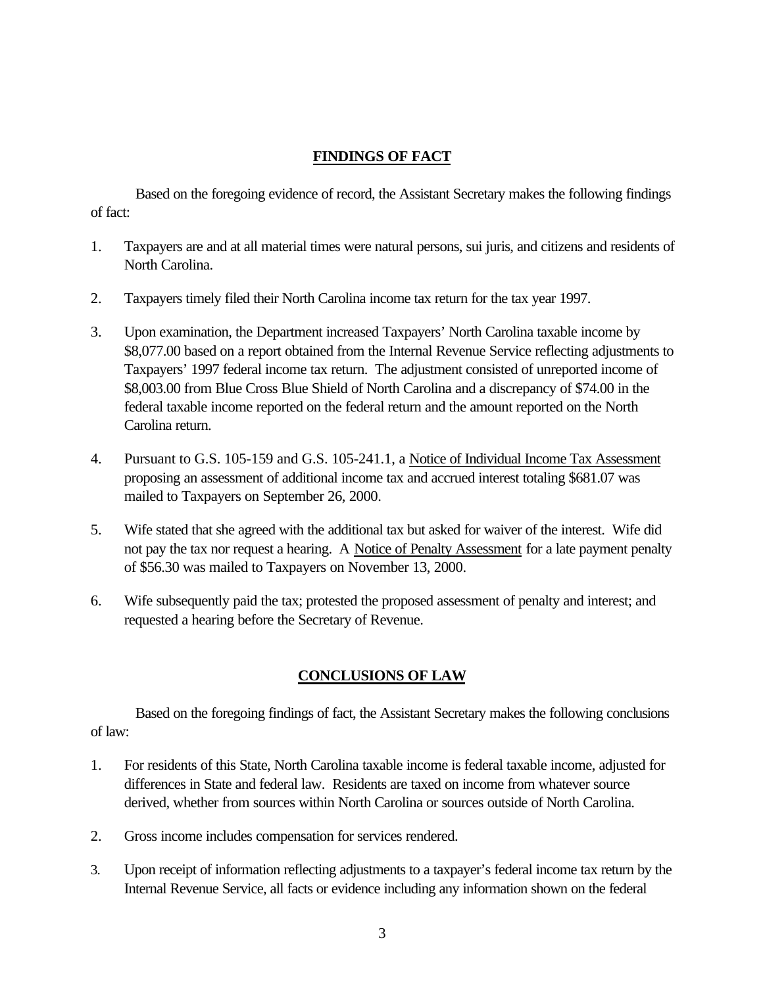# **FINDINGS OF FACT**

Based on the foregoing evidence of record, the Assistant Secretary makes the following findings of fact:

- 1. Taxpayers are and at all material times were natural persons, sui juris, and citizens and residents of North Carolina.
- 2. Taxpayers timely filed their North Carolina income tax return for the tax year 1997.
- 3. Upon examination, the Department increased Taxpayers' North Carolina taxable income by \$8,077.00 based on a report obtained from the Internal Revenue Service reflecting adjustments to Taxpayers' 1997 federal income tax return. The adjustment consisted of unreported income of \$8,003.00 from Blue Cross Blue Shield of North Carolina and a discrepancy of \$74.00 in the federal taxable income reported on the federal return and the amount reported on the North Carolina return.
- 4. Pursuant to G.S. 105-159 and G.S. 105-241.1, a Notice of Individual Income Tax Assessment proposing an assessment of additional income tax and accrued interest totaling \$681.07 was mailed to Taxpayers on September 26, 2000.
- 5. Wife stated that she agreed with the additional tax but asked for waiver of the interest. Wife did not pay the tax nor request a hearing. A Notice of Penalty Assessment for a late payment penalty of \$56.30 was mailed to Taxpayers on November 13, 2000.
- 6. Wife subsequently paid the tax; protested the proposed assessment of penalty and interest; and requested a hearing before the Secretary of Revenue.

# **CONCLUSIONS OF LAW**

Based on the foregoing findings of fact, the Assistant Secretary makes the following conclusions of law:

- 1. For residents of this State, North Carolina taxable income is federal taxable income, adjusted for differences in State and federal law. Residents are taxed on income from whatever source derived, whether from sources within North Carolina or sources outside of North Carolina.
- 2. Gross income includes compensation for services rendered.
- 3. Upon receipt of information reflecting adjustments to a taxpayer's federal income tax return by the Internal Revenue Service, all facts or evidence including any information shown on the federal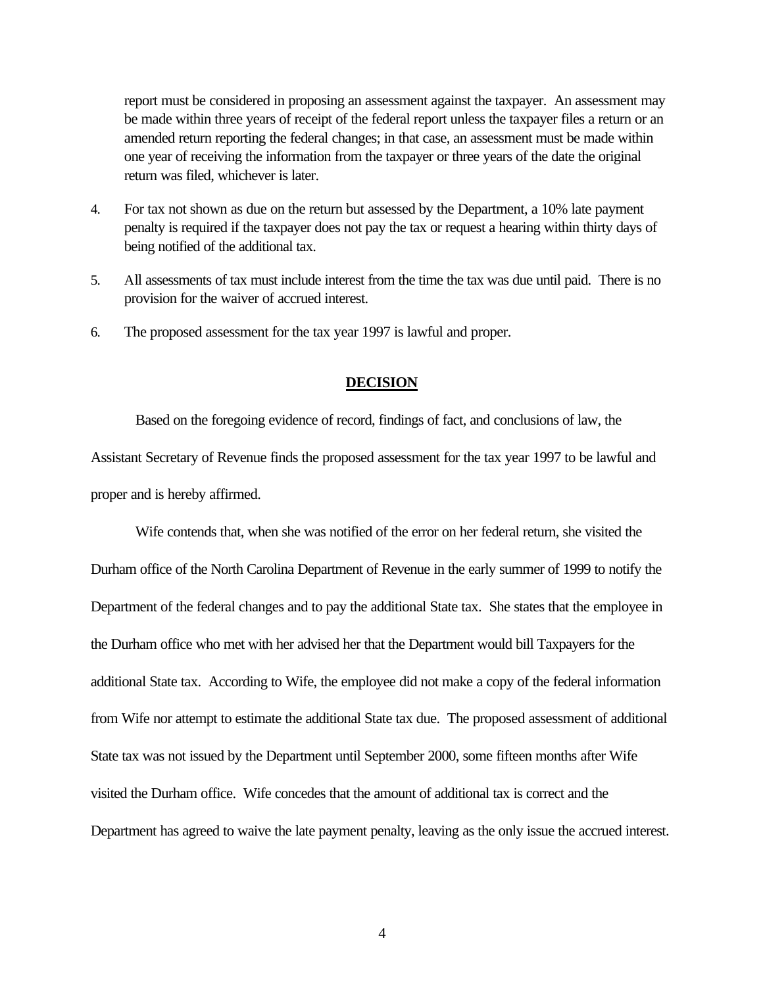report must be considered in proposing an assessment against the taxpayer. An assessment may be made within three years of receipt of the federal report unless the taxpayer files a return or an amended return reporting the federal changes; in that case, an assessment must be made within one year of receiving the information from the taxpayer or three years of the date the original return was filed, whichever is later.

- 4. For tax not shown as due on the return but assessed by the Department, a 10% late payment penalty is required if the taxpayer does not pay the tax or request a hearing within thirty days of being notified of the additional tax.
- 5. All assessments of tax must include interest from the time the tax was due until paid. There is no provision for the waiver of accrued interest.
- 6. The proposed assessment for the tax year 1997 is lawful and proper.

## **DECISION**

Based on the foregoing evidence of record, findings of fact, and conclusions of law, the Assistant Secretary of Revenue finds the proposed assessment for the tax year 1997 to be lawful and proper and is hereby affirmed.

Wife contends that, when she was notified of the error on her federal return, she visited the Durham office of the North Carolina Department of Revenue in the early summer of 1999 to notify the Department of the federal changes and to pay the additional State tax. She states that the employee in the Durham office who met with her advised her that the Department would bill Taxpayers for the additional State tax. According to Wife, the employee did not make a copy of the federal information from Wife nor attempt to estimate the additional State tax due. The proposed assessment of additional State tax was not issued by the Department until September 2000, some fifteen months after Wife visited the Durham office. Wife concedes that the amount of additional tax is correct and the Department has agreed to waive the late payment penalty, leaving as the only issue the accrued interest.